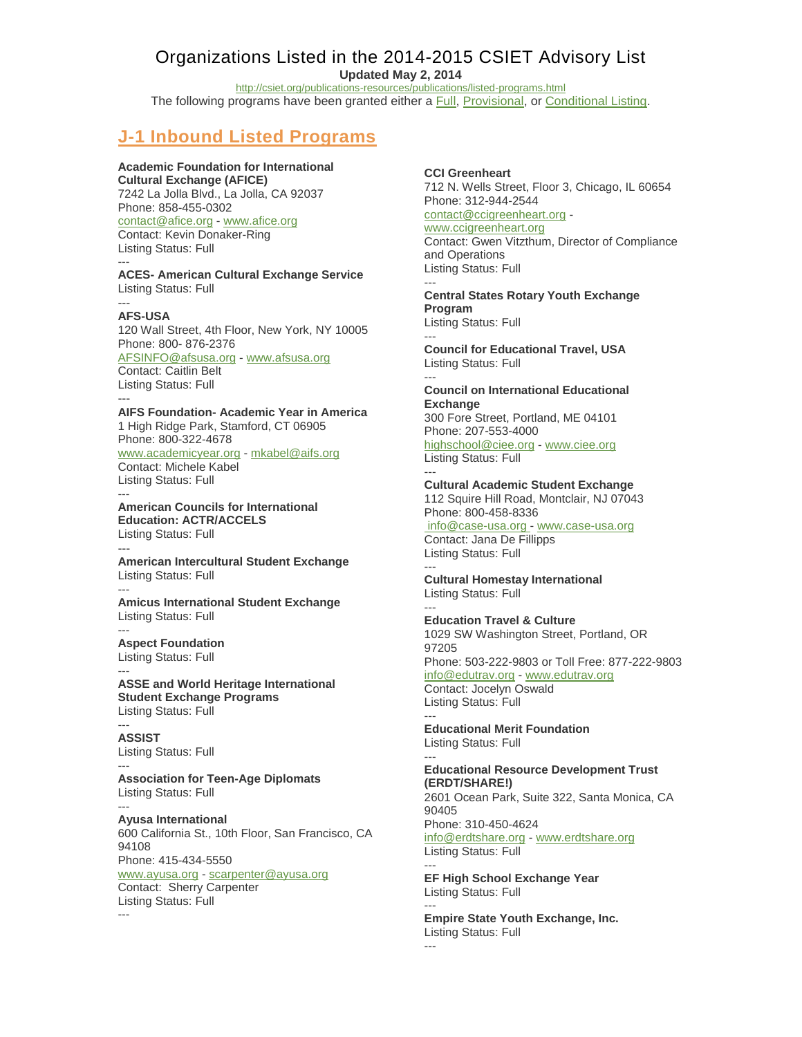# Organizations Listed in the 2014-2015 CSIET Advisory List

**Updated May 2, 2014**

<http://csiet.org/publications-resources/publications/listed-programs.html>

The following programs have been granted either a **Full, Provisional, or Conditional Listing**.

**CCI Greenheart**

and Operations Listing Status: Full

Listing Status: Full

---

---

**Program**

Phone: 312-944-2544 [contact@ccigreenheart.org](mailto:contact@ccigreenheart.org) [www.ccigreenheart.org](http://www.ccigreenheart.org/)

712 N. Wells Street, Floor 3, Chicago, IL 60654

Contact: Gwen Vitzthum, Director of Compliance

**Central States Rotary Youth Exchange** 

**Council for Educational Travel, USA**

# **J-1 Inbound Listed Programs**

# **Academic Foundation for International**

**Cultural Exchange (AFICE)** 7242 La Jolla Blvd., La Jolla, CA 92037 Phone: 858-455-0302 [contact@afice.org](mailto:contact@afice.org) - [www.afice.org](http://www.afice.org/) Contact: Kevin Donaker-Ring Listing Status: Full

### --- **ACES- American Cultural Exchange Service** Listing Status: Full

--- **AFS-USA**

120 Wall Street, 4th Floor, New York, NY 10005 Phone: 800- 876-2376 [AFSINFO@afsusa.org](mailto:AFSINFO@afsusa.org) - [www.afsusa.org](http://www.afsusa.org/) Contact: Caitlin Belt Listing Status: Full

--- **AIFS Foundation- Academic Year in America** 1 High Ridge Park, Stamford, CT 06905 Phone: 800-322-4678 [www.academicyear.org](http://www.academicyear.org/) - [mkabel@aifs.org](mailto:mkabel@aifs.org) Contact: Michele Kabel

Listing Status: Full ---

**American Councils for International Education: ACTR/ACCELS** Listing Status: Full ---

**American Intercultural Student Exchange** Listing Status: Full ---

**Amicus International Student Exchange** Listing Status: Full ---

**Aspect Foundation** Listing Status: Full

--- **ASSE and World Heritage International Student Exchange Programs** Listing Status: Full

### --- **ASSIST** Listing Status: Full

---

--- **Association for Teen-Age Diplomats** Listing Status: Full

--- **Ayusa International** 600 California St., 10th Floor, San Francisco, CA 94108 Phone: 415-434-5550 [www.ayusa.org](http://www.ayusa.org/) - [scarpenter@ayusa.org](mailto:scarpenter@ayusa.org) Contact: Sherry Carpenter Listing Status: Full

Listing Status: Full --- **Council on International Educational Exchange** 300 Fore Street, Portland, ME 04101 Phone: 207-553-4000 [highschool@ciee.org](mailto:highschool@ciee.org) - [www.ciee.org](http://www.ciee.org/) Listing Status: Full --- **Cultural Academic Student Exchange** 112 Squire Hill Road, Montclair, NJ 07043 Phone: 800-458-8336 [info@case-usa.org -](mailto:info@case-usa.org) [www.case-usa.org](http://www.case-usa.org/) Contact: Jana De Fillipps Listing Status: Full --- **Cultural Homestay International** Listing Status: Full --- **Education Travel & Culture** 1029 SW Washington Street, Portland, OR 97205 Phone: 503-222-9803 or Toll Free: 877-222-9803 [info@edutrav.org](mailto:info@edutrav.org) - [www.edutrav.org](http://www.edutrav.org/) Contact: Jocelyn Oswald Listing Status: Full --- **Educational Merit Foundation** Listing Status: Full --- **Educational Resource Development Trust (ERDT/SHARE!)** 2601 Ocean Park, Suite 322, Santa Monica, CA 90405 Phone: 310-450-4624 [info@erdtshare.org](mailto:info@erdtshare.org) - [www.erdtshare.org](http://www.erdtshare.org/) Listing Status: Full --- **EF High School Exchange Year** Listing Status: Full ---

**Empire State Youth Exchange, Inc.** Listing Status: Full ---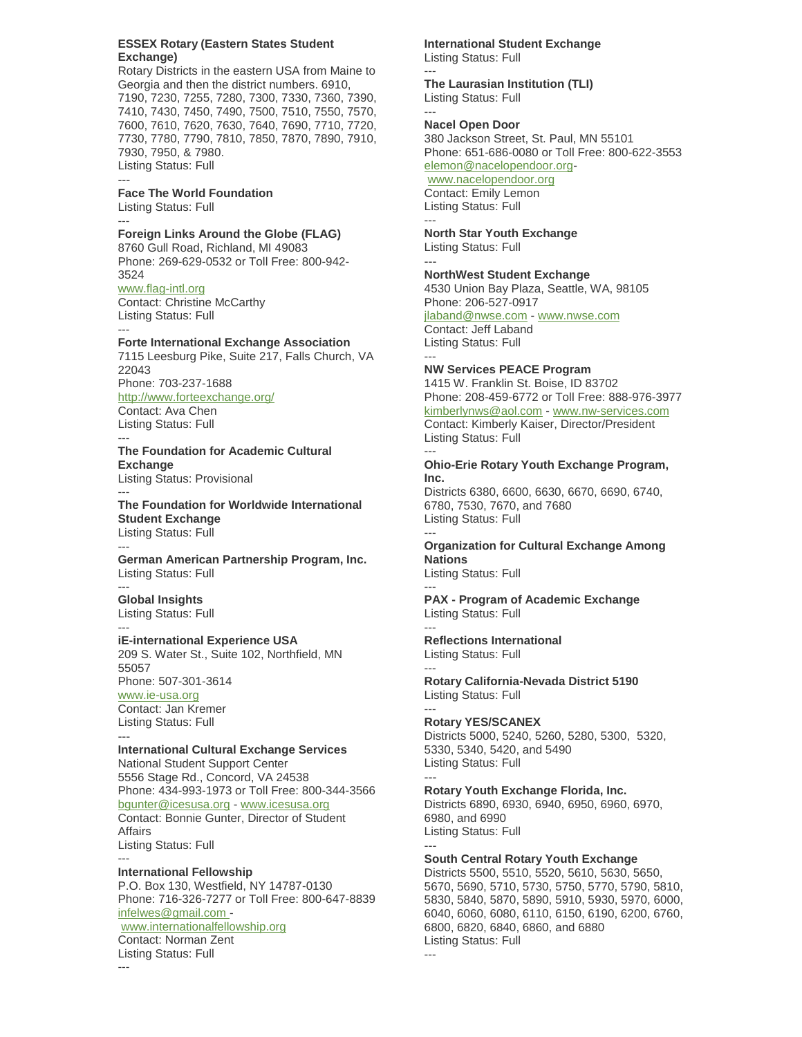## **ESSEX Rotary (Eastern States Student Exchange)**

Rotary Districts in the eastern USA from Maine to Georgia and then the district numbers. 6910, 7190, 7230, 7255, 7280, 7300, 7330, 7360, 7390, 7410, 7430, 7450, 7490, 7500, 7510, 7550, 7570, 7600, 7610, 7620, 7630, 7640, 7690, 7710, 7720, 7730, 7780, 7790, 7810, 7850, 7870, 7890, 7910, 7930, 7950, & 7980. Listing Status: Full

#### --- **Face The World Foundation**

Listing Status: Full ---

### **Foreign Links Around the Globe (FLAG)**

8760 Gull Road, Richland, MI 49083 Phone: 269-629-0532 or Toll Free: 800-942- 3524

# [www.flag-intl.org](http://www.flag-intl.org/)

Contact: Christine McCarthy Listing Status: Full ---

**Forte International Exchange Association** 7115 Leesburg Pike, Suite 217, Falls Church, VA 22043 Phone: 703-237-1688 <http://www.forteexchange.org/> Contact: Ava Chen

Listing Status: Full ---

## **The Foundation for Academic Cultural Exchange** Listing Status: Provisional

--- **The Foundation for Worldwide International Student Exchange** Listing Status: Full ---

# **German American Partnership Program, Inc.**  Listing Status: Full

## --- **Global Insights**

Listing Status: Full ---

# **iE-international Experience USA**

209 S. Water St., Suite 102, Northfield, MN 55057

Phone: 507-301-3614 [www.ie-usa.org](http://www.ie-usa.org/)

Contact: Jan Kremer Listing Status: Full ---

# **International Cultural Exchange Services**

National Student Support Center 5556 Stage Rd., Concord, VA 24538 Phone: 434-993-1973 or Toll Free: 800-344-3566 [bgunter@icesusa.org](mailto:bgunter@icesusa.org) - [www.icesusa.org](http://www.icesusa.org/) Contact: Bonnie Gunter, Director of Student **Affairs** Listing Status: Full

### --- **International Fellowship**

P.O. Box 130, Westfield, NY 14787-0130 Phone: 716-326-7277 or Toll Free: 800-647-8839 [infelwes@gmail.com](mailto:infelwes@gmail.com)  [www.internationalfellowship.org](http://www.internationalfellowship.org/)

# Contact: Norman Zent Listing Status: Full

# **International Student Exchange**

Listing Status: Full

#### --- **The Laurasian Institution (TLI)**

Listing Status: Full ---

# **Nacel Open Door**

380 Jackson Street, St. Paul, MN 55101 Phone: 651-686-0080 or Toll Free: 800-622-3553 [elemon@nacelopendoor.org-](mailto:rbanasikowski@nacelopendoor.org)

# [www.nacelopendoor.org](http://www.nacelopendoor.org/)

Contact: Emily Lemon Listing Status: Full

# --- **North Star Youth Exchange**

Listing Status: Full ---

# **NorthWest Student Exchange**

4530 Union Bay Plaza, Seattle, WA, 98105 Phone: 206-527-0917

[jlaband@nwse.com](mailto:jlaband@nwse.com) - [www.nwse.com](http://www.nwse.com/) Contact: Jeff Laband Listing Status: Full ---

## **NW Services PEACE Program**

1415 W. Franklin St. Boise, ID 83702 Phone: 208-459-6772 or Toll Free: 888-976-3977 [kimberlynws@aol.com](mailto:kimberlynws@aol.com) - [www.nw-services.com](http://www.nw-services.com/) Contact: Kimberly Kaiser, Director/President Listing Status: Full

# **Ohio-Erie Rotary Youth Exchange Program, Inc.**

Districts 6380, 6600, 6630, 6670, 6690, 6740, 6780, 7530, 7670, and 7680 Listing Status: Full

## --- **Organization for Cultural Exchange Among Nations**

Listing Status: Full ---

---

## **PAX - Program of Academic Exchange** Listing Status: Full

### --- **Reflections International** Listing Status: Full

--- **Rotary California-Nevada District 5190** Listing Status: Full

#### --- **Rotary YES/SCANEX**

Districts 5000, 5240, 5260, 5280, 5300, 5320, 5330, 5340, 5420, and 5490 Listing Status: Full

### --- **Rotary Youth Exchange Florida, Inc.**

Districts 6890, 6930, 6940, 6950, 6960, 6970, 6980, and 6990 Listing Status: Full ---

## **South Central Rotary Youth Exchange**

Districts 5500, 5510, 5520, 5610, 5630, 5650, 5670, 5690, 5710, 5730, 5750, 5770, 5790, 5810, 5830, 5840, 5870, 5890, 5910, 5930, 5970, 6000, 6040, 6060, 6080, 6110, 6150, 6190, 6200, 6760, 6800, 6820, 6840, 6860, and 6880 Listing Status: Full ---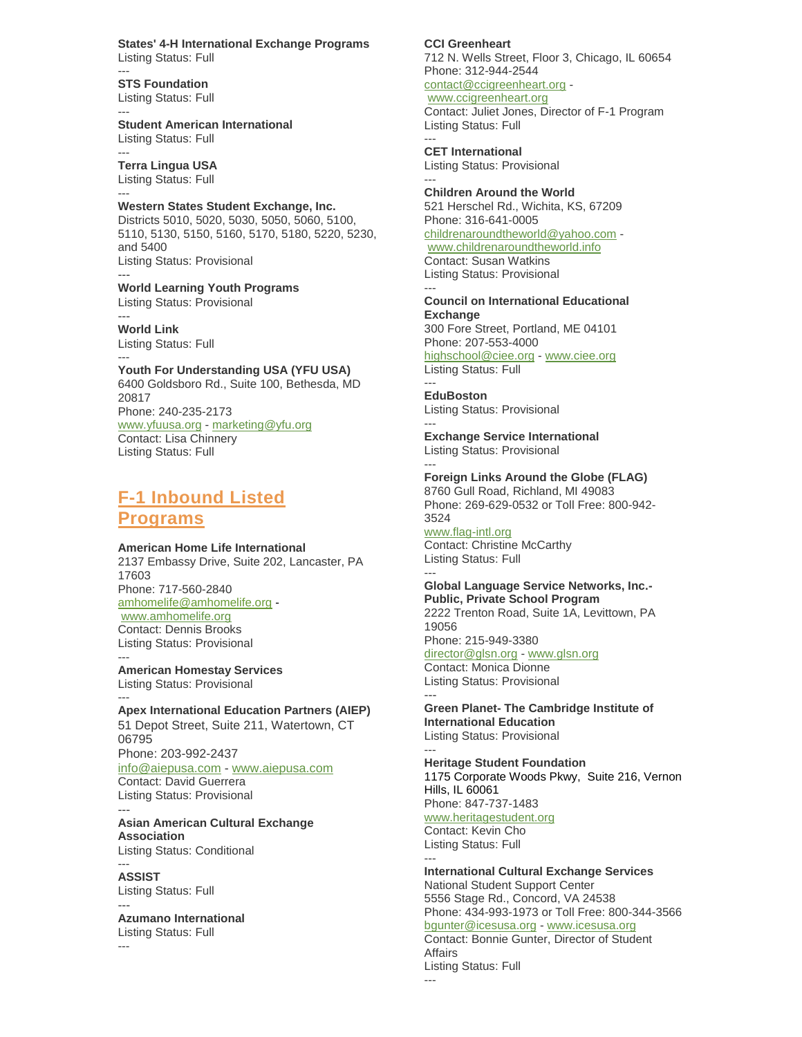**States' 4-H International Exchange Programs** Listing Status: Full

--- **STS Foundation** Listing Status: Full

--- **Student American International** Listing Status: Full

--- **Terra Lingua USA** Listing Status: Full

--- **Western States Student Exchange, Inc.**  Districts 5010, 5020, 5030, 5050, 5060, 5100, 5110, 5130, 5150, 5160, 5170, 5180, 5220, 5230, and 5400 Listing Status: Provisional ---

**World Learning Youth Programs** Listing Status: Provisional ---

**World Link** Listing Status: Full ---

**Youth For Understanding USA (YFU USA)** 6400 Goldsboro Rd., Suite 100, Bethesda, MD 20817 Phone: 240-235-2173 [www.yfuusa.org](http://www.yfuusa.org/) - [marketing@yfu.org](mailto:marketing@yfu.org) Contact: Lisa Chinnery Listing Status: Full

**F-1 Inbound Listed Programs**

**American Home Life International**

2137 Embassy Drive, Suite 202, Lancaster, PA 17603 Phone: 717-560-2840 [amhomelife@amhomelife.org](mailto:amhomelife@amhomelife.org) [www.amhomelife.org](http://www.amhomelife.org/) Contact: Dennis Brooks Listing Status: Provisional --- **American Homestay Services** Listing Status: Provisional ---

**Apex International Education Partners (AIEP)**

51 Depot Street, Suite 211, Watertown, CT 06795 Phone: 203-992-2437 [info@aiepusa.com](mailto:info@aiepusa.com) - [www.aiepusa.com](http://www.aiepusa.com/) Contact: David Guerrera Listing Status: Provisional

**Asian American Cultural Exchange Association** Listing Status: Conditional

--- **ASSIST** Listing Status: Full

---

---

**Azumano International** Listing Status: Full ---

**CCI Greenheart** 712 N. Wells Street, Floor 3, Chicago, IL 60654 Phone: 312-944-2544 [contact@ccigreenheart.org](mailto:contact@ccigreenheart.org) [www.ccigreenheart.org](http://www.ccigreenheart.org/)

Contact: Juliet Jones, Director of F-1 Program Listing Status: Full ---

**CET International** Listing Status: Provisional ---

**Children Around the World** 521 Herschel Rd., Wichita, KS, 67209 Phone: 316-641-0005 [childrenaroundtheworld@yahoo.com](mailto:childrenaroundtheworld@yahoo.com) [www.childrenaroundtheworld.info](http://www.childrenaroundtheworld.info/)

Contact: Susan Watkins Listing Status: Provisional ---

**Council on International Educational Exchange** 300 Fore Street, Portland, ME 04101 Phone: 207-553-4000

[highschool@ciee.org](mailto:highschool@ciee.org) - [www.ciee.org](http://www.ciee.org/) Listing Status: Full ---

**EduBoston** Listing Status: Provisional

--- **Exchange Service International** Listing Status: Provisional

--- **Foreign Links Around the Globe (FLAG)**

8760 Gull Road, Richland, MI 49083 Phone: 269-629-0532 or Toll Free: 800-942- 3524 [www.flag-intl.org](http://www.flag-intl.org/)

Contact: Christine McCarthy Listing Status: Full ---

**Global Language Service Networks, Inc.- Public, Private School Program**

2222 Trenton Road, Suite 1A, Levittown, PA 19056

Phone: 215-949-3380

[director@glsn.org](mailto:director@glsn.org) - [www.glsn.org](http://www.glsn.org/) Contact: Monica Dionne

Listing Status: Provisional ---

**Green Planet- The Cambridge Institute of International Education** Listing Status: Provisional ---

**Heritage Student Foundation** 1175 Corporate Woods Pkwy, Suite 216, Vernon Hills, IL 60061 Phone: 847-737-1483 [www.heritagestudent.org](http://www.heritagestudent.org/) Contact: Kevin Cho Listing Status: Full ---

**International Cultural Exchange Services** National Student Support Center 5556 Stage Rd., Concord, VA 24538 Phone: 434-993-1973 or Toll Free: 800-344-3566 [bgunter@icesusa.org](mailto:bgunter@icesusa.org) - [www.icesusa.org](http://www.icesusa.org/) Contact: Bonnie Gunter, Director of Student Affairs Listing Status: Full ---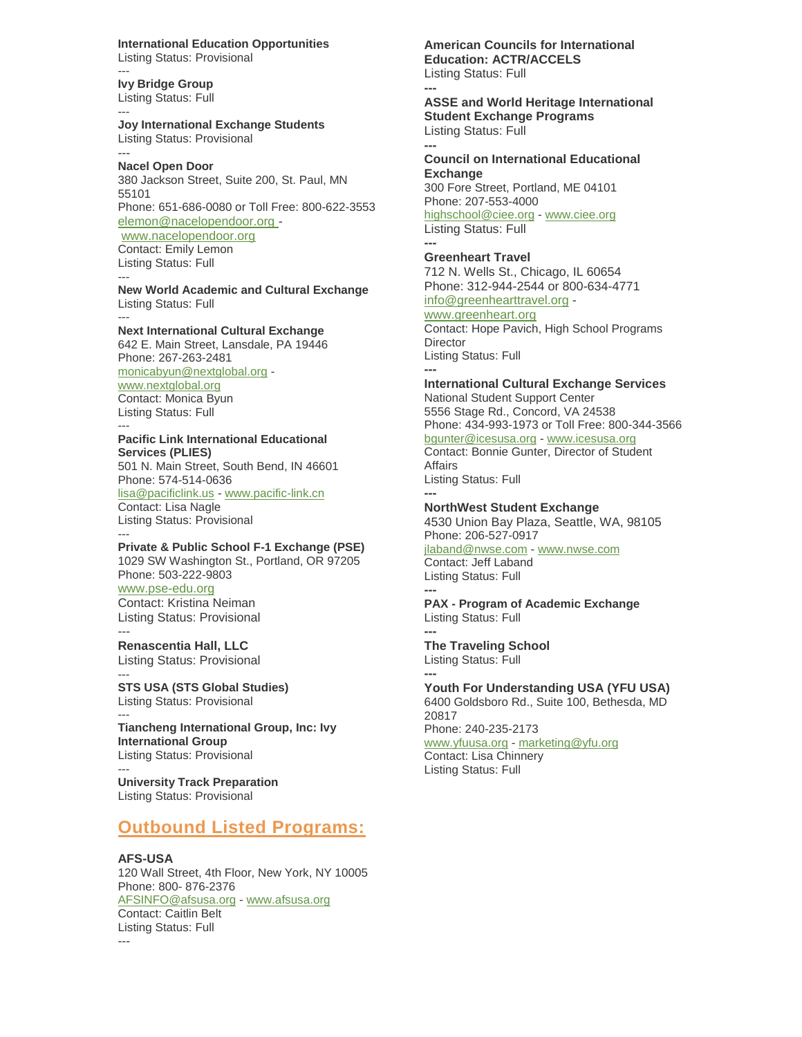**International Education Opportunities** Listing Status: Provisional

### --- **Ivy Bridge Group** Listing Status: Full

---

---

---

**Joy International Exchange Students** Listing Status: Provisional ---

**Nacel Open Door** 380 Jackson Street, Suite 200, St. Paul, MN 55101 Phone: 651-686-0080 or Toll Free: 800-622-3553 [elemon@nacelopendoor.org](mailto:rbanasikowski@nacelopendoor.org)  [www.nacelopendoor.org](http://www.nacelopendoor.org/) Contact: Emily Lemon Listing Status: Full

--- **New World Academic and Cultural Exchange** Listing Status: Full

## **Next International Cultural Exchange**

642 E. Main Street, Lansdale, PA 19446 Phone: 267-263-2481 [monicabyun@nextglobal.org](mailto:monicabyun@nextglobal.org) [www.nextglobal.org](http://www.nextglobal.org/) Contact: Monica Byun Listing Status: Full

### --- **Pacific Link International Educational Services (PLIES)**

501 N. Main Street, South Bend, IN 46601 Phone: 574-514-0636

[lisa@pacificlink.us](mailto:lisa@pacificlink.us) - [www.pacific-link.cn](http://www.pacific-link.cn/) Contact: Lisa Nagle Listing Status: Provisional ---

**Private & Public School F-1 Exchange (PSE)** 1029 SW Washington St., Portland, OR 97205 Phone: 503-222-9803 [www.pse-edu.org](http://www.pse-edu.org/) 

Contact: Kristina Neiman Listing Status: Provisional

## **Renascentia Hall, LLC** Listing Status: Provisional

---

**STS USA (STS Global Studies)** Listing Status: Provisional ---

**Tiancheng International Group, Inc: Ivy International Group** Listing Status: Provisional ---

**University Track Preparation** Listing Status: Provisional

# **Outbound Listed Programs:**

# **AFS-USA**

120 Wall Street, 4th Floor, New York, NY 10005 Phone: 800- 876-2376 [AFSINFO@afsusa.org](mailto:AFSINFO@afsusa.org) - [www.afsusa.org](http://www.afsusa.org/) Contact: Caitlin Belt Listing Status: Full ---

**American Councils for International Education: ACTR/ACCELS** Listing Status: Full

**--- ASSE and World Heritage International Student Exchange Programs** Listing Status: Full **---**

**Council on International Educational Exchange** 300 Fore Street, Portland, ME 04101 Phone: 207-553-4000 [highschool@ciee.org](mailto:highschool@ciee.org) - [www.ciee.org](http://www.ciee.org/) Listing Status: Full

**---**

## **Greenheart Travel**

712 N. Wells St., Chicago, IL 60654 Phone: 312-944-2544 or 800-634-4771 [info@greenhearttravel.org](mailto:info@greenhearttravel.org) -

[www.greenheart.org](http://www.greenheart.org/)

Contact: Hope Pavich, High School Programs **Director** Listing Status: Full **---**

# **International Cultural Exchange Services**

National Student Support Center 5556 Stage Rd., Concord, VA 24538 Phone: 434-993-1973 or Toll Free: 800-344-3566 [bgunter@icesusa.org](mailto:bgunter@icesusa.org) - [www.icesusa.org](http://www.icesusa.org/)

Contact: Bonnie Gunter, Director of Student Affairs Listing Status: Full

## **NorthWest Student Exchange**

4530 Union Bay Plaza, Seattle, WA, 98105 Phone: 206-527-0917

[jlaband@nwse.com](mailto:jlaband@nwse.com) - [www.nwse.com](http://www.nwse.com/) Contact: Jeff Laband

Listing Status: Full **---**

**PAX - Program of Academic Exchange** Listing Status: Full

**--- The Traveling School** Listing Status: Full

**---**

**---**

**Youth For Understanding USA (YFU USA)** 6400 Goldsboro Rd., Suite 100, Bethesda, MD 20817 Phone: 240-235-2173

[www.yfuusa.org](http://www.yfuusa.org/) - [marketing@yfu.org](mailto:marketing@yfu.org)

Contact: Lisa Chinnery Listing Status: Full